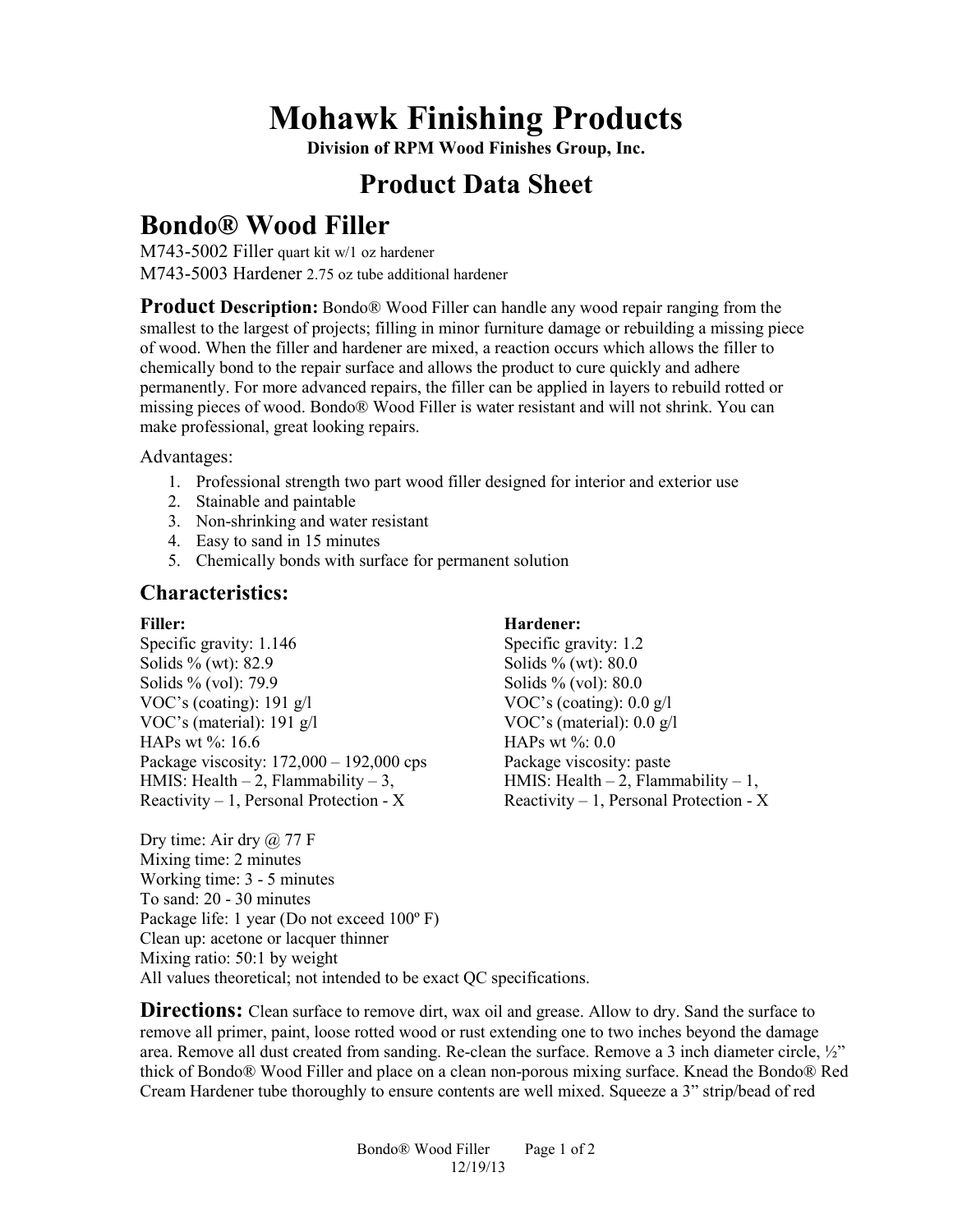# **Mohawk Finishing Products**

**Division of RPM Wood Finishes Group, Inc.** 

## **Product Data Sheet**

## **Bondo® Wood Filler**

M743-5002 Filler quart kit w/1 oz hardener M743-5003 Hardener 2.75 oz tube additional hardener

**Product Description:** Bondo<sup>®</sup> Wood Filler can handle any wood repair ranging from the smallest to the largest of projects; filling in minor furniture damage or rebuilding a missing piece of wood. When the filler and hardener are mixed, a reaction occurs which allows the filler to chemically bond to the repair surface and allows the product to cure quickly and adhere permanently. For more advanced repairs, the filler can be applied in layers to rebuild rotted or missing pieces of wood. Bondo® Wood Filler is water resistant and will not shrink. You can make professional, great looking repairs.

Advantages:

- 1. Professional strength two part wood filler designed for interior and exterior use
- 2. Stainable and paintable
- 3. Non-shrinking and water resistant
- 4. Easy to sand in 15 minutes
- 5. Chemically bonds with surface for permanent solution

### **Characteristics:**

#### **Filler:**

Specific gravity: 1.146 Solids % (wt): 82.9 Solids % (vol): 79.9 VOC's (coating): 191 g/l VOC's (material): 191 g/l HAPs wt %: 16.6 Package viscosity: 172,000 – 192,000 cps HMIS: Health  $-2$ , Flammability  $-3$ , Reactivity  $-1$ , Personal Protection - X

### **Hardener:**

Specific gravity: 1.2 Solids % (wt): 80.0 Solids % (vol): 80.0 VOC's (coating): 0.0 g/l VOC's (material): 0.0 g/l HAPs wt %: 0.0 Package viscosity: paste HMIS: Health  $-2$ , Flammability  $-1$ , Reactivity  $-1$ , Personal Protection - X

Dry time: Air dry  $\omega$  77 F Mixing time: 2 minutes Working time: 3 - 5 minutes To sand: 20 - 30 minutes Package life: 1 year (Do not exceed 100º F) Clean up: acetone or lacquer thinner Mixing ratio: 50:1 by weight All values theoretical; not intended to be exact QC specifications.

**Directions:** Clean surface to remove dirt, wax oil and grease. Allow to dry. Sand the surface to remove all primer, paint, loose rotted wood or rust extending one to two inches beyond the damage area. Remove all dust created from sanding. Re-clean the surface. Remove a 3 inch diameter circle,  $\frac{1}{2}$ " thick of Bondo® Wood Filler and place on a clean non-porous mixing surface. Knead the Bondo® Red Cream Hardener tube thoroughly to ensure contents are well mixed. Squeeze a 3" strip/bead of red